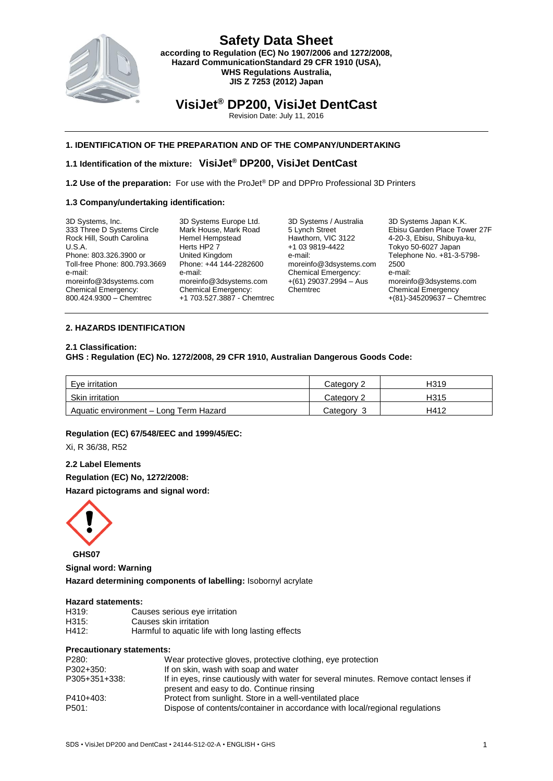

**VisiJet® DP200, VisiJet DentCast**

Revision Date: July 11, 2016

## **1. IDENTIFICATION OF THE PREPARATION AND OF THE COMPANY/UNDERTAKING**

## **1.1 Identification of the mixture: VisiJet® DP200, VisiJet DentCast**

**1.2 Use of the preparation:** For use with the ProJet® DP and DPPro Professional 3D Printers

#### **1.3 Company/undertaking identification:**

| 3D Systems, Inc.              |  |
|-------------------------------|--|
| 333 Three D Systems Circle    |  |
| Rock Hill, South Carolina     |  |
| U.S.A.                        |  |
| Phone: 803.326.3900 or        |  |
| Toll-free Phone: 800.793.3669 |  |
| e-mail:                       |  |
| moreinfo@3dsystems.com        |  |
| <b>Chemical Emergency:</b>    |  |
| 800.424.9300 - Chemtrec       |  |

3D Systems Europe Ltd. Mark House, Mark Road Hemel Hempstead Herts HP2 7 United Kingdom Phone: +44 144-2282600 e-mail: moreinfo@3dsystems.com Chemical Emergency: +1 703.527.3887 - Chemtrec

3D Systems / Australia 5 Lynch Street Hawthorn, VIC 3122 +1 03 9819-4422 e-mail: moreinfo@3dsystems.com Chemical Emergency:  $+(61)$  29037.2994 – Aus Chemtrec

3D Systems Japan K.K. Ebisu Garden Place Tower 27F 4-20-3, Ebisu, Shibuya-ku, Tokyo 50-6027 Japan Telephone No. +81-3-5798- 2500 e-mail: moreinfo@3dsystems.com Chemical Emergency +(81)-345209637 – Chemtrec

#### **2. HAZARDS IDENTIFICATION**

#### **2.1 Classification:**

**GHS : Regulation (EC) No. 1272/2008, 29 CFR 1910, Australian Dangerous Goods Code:**

| Eve irritation                         | Category 2 | H319 |
|----------------------------------------|------------|------|
| Skin irritation                        | Category 2 | H315 |
| Aquatic environment - Long Term Hazard | Categorv   | H412 |

### **Regulation (EC) 67/548/EEC and 1999/45/EC:**

Xi, R 36/38, R52

**2.2 Label Elements Regulation (EC) No, 1272/2008: Hazard pictograms and signal word:**



**Signal word: Warning Hazard determining components of labelling:** Isobornyl acrylate

#### **Hazard statements:**

| H319: | Causes serious eye irritation                     |
|-------|---------------------------------------------------|
| H315: | Causes skin irritation                            |
| H412: | Harmful to aquatic life with long lasting effects |

#### **Precautionary statements:**

| P280:         | Wear protective gloves, protective clothing, eye protection                                                                       |
|---------------|-----------------------------------------------------------------------------------------------------------------------------------|
| P302+350:     | If on skin, wash with soap and water                                                                                              |
| P305+351+338: | If in eyes, rinse cautiously with water for several minutes. Remove contact lenses if<br>present and easy to do. Continue rinsing |
| P410+403:     | Protect from sunlight. Store in a well-ventilated place                                                                           |
| P501:         | Dispose of contents/container in accordance with local/regional regulations                                                       |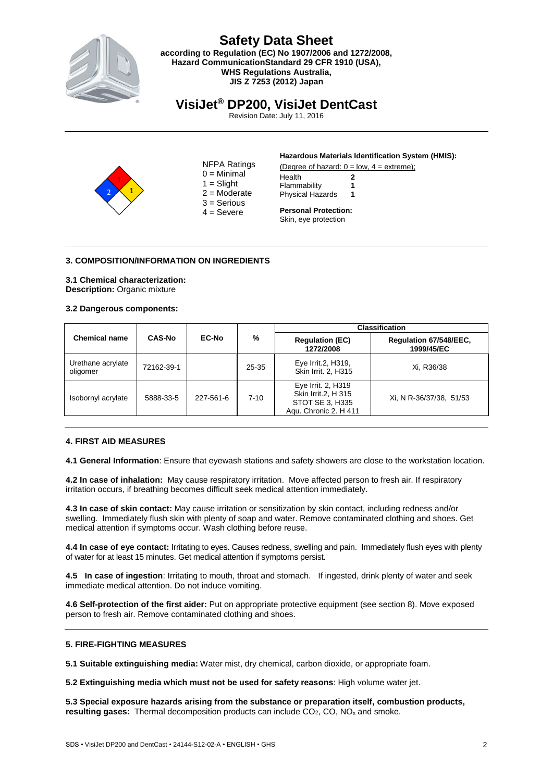

# **Safety Data Sheet**

**according to Regulation (EC) No 1907/2006 and 1272/2008, Hazard CommunicationStandard 29 CFR 1910 (USA), WHS Regulations Australia, JIS Z 7253 (2012) Japan**

# **VisiJet® DP200, VisiJet DentCast**

Revision Date: July 11, 2016



NFPA Ratings  $0 =$  Minimal  $1 =$ Slight  $2 =$ Moderate 3 = Serious  $4 =$  Severe

#### **Hazardous Materials Identification System (HMIS):**

(Degree of hazard:  $0 = low$ ,  $4 = extreme$ ); Health **2** Flammability **1** Physical Hazards **1**

**Personal Protection:**  Skin, eye protection

### **3. COMPOSITION/INFORMATION ON INGREDIENTS**

**3.1 Chemical characterization: Description:** Organic mixture

#### **3.2 Dangerous components:**

| <b>Chemical name</b>          | CAS-No     |              |          |                                                                                       |                                      |  | <b>Classification</b> |
|-------------------------------|------------|--------------|----------|---------------------------------------------------------------------------------------|--------------------------------------|--|-----------------------|
|                               |            | <b>EC-No</b> | %        | <b>Regulation (EC)</b><br>1272/2008                                                   | Regulation 67/548/EEC,<br>1999/45/EC |  |                       |
| Urethane acrylate<br>oligomer | 72162-39-1 |              | 25-35    | Eye Irrit.2, H319,<br>Skin Irrit. 2. H315                                             | Xi, R36/38                           |  |                       |
| Isobornyl acrylate            | 5888-33-5  | 227-561-6    | $7 - 10$ | Eye Irrit. 2, H319<br>Skin Irrit.2, H 315<br>STOT SE 3, H335<br>Aqu. Chronic 2. H 411 | Xi, N R-36/37/38, 51/53              |  |                       |

#### **4. FIRST AID MEASURES**

**4.1 General Information**: Ensure that eyewash stations and safety showers are close to the workstation location.

**4.2 In case of inhalation:** May cause respiratory irritation. Move affected person to fresh air. If respiratory irritation occurs, if breathing becomes difficult seek medical attention immediately.

**4.3 In case of skin contact:** May cause irritation or sensitization by skin contact, including redness and/or swelling. Immediately flush skin with plenty of soap and water. Remove contaminated clothing and shoes. Get medical attention if symptoms occur. Wash clothing before reuse.

**4.4 In case of eye contact:** Irritating to eyes. Causes redness, swelling and pain. Immediately flush eyes with plenty of water for at least 15 minutes. Get medical attention if symptoms persist.

**4.5 In case of ingestion**: Irritating to mouth, throat and stomach. If ingested, drink plenty of water and seek immediate medical attention. Do not induce vomiting.

**4.6 Self-protection of the first aider:** Put on appropriate protective equipment (see section 8). Move exposed person to fresh air. Remove contaminated clothing and shoes.

### **5. FIRE-FIGHTING MEASURES**

**5.1 Suitable extinguishing media:** Water mist, dry chemical, carbon dioxide, or appropriate foam.

**5.2 Extinguishing media which must not be used for safety reasons**: High volume water jet.

**5.3 Special exposure hazards arising from the substance or preparation itself, combustion products, resulting gases:** Thermal decomposition products can include CO<sub>2</sub>, CO, NO<sub>x</sub> and smoke.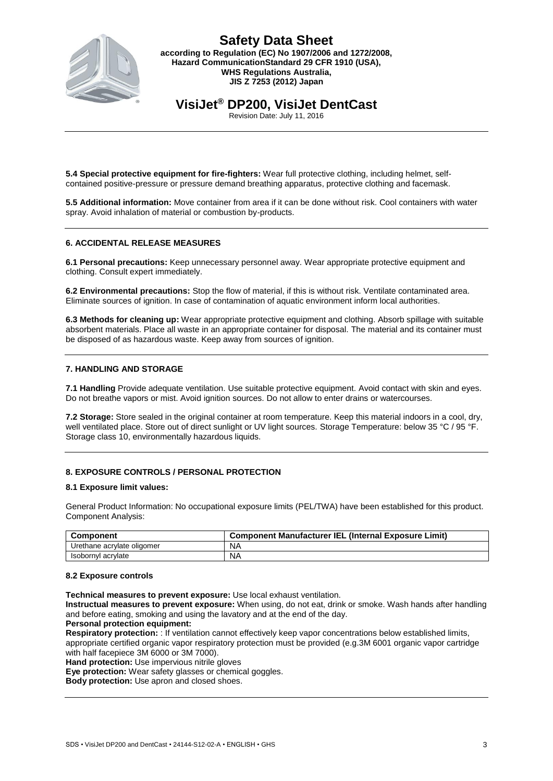

**VisiJet® DP200, VisiJet DentCast**

Revision Date: July 11, 2016

**5.4 Special protective equipment for fire-fighters:** Wear full protective clothing, including helmet, selfcontained positive-pressure or pressure demand breathing apparatus, protective clothing and facemask.

**5.5 Additional information:** Move container from area if it can be done without risk. Cool containers with water spray. Avoid inhalation of material or combustion by-products.

#### **6. ACCIDENTAL RELEASE MEASURES**

**6.1 Personal precautions:** Keep unnecessary personnel away. Wear appropriate protective equipment and clothing. Consult expert immediately.

**6.2 Environmental precautions:** Stop the flow of material, if this is without risk. Ventilate contaminated area. Eliminate sources of ignition. In case of contamination of aquatic environment inform local authorities.

**6.3 Methods for cleaning up:** Wear appropriate protective equipment and clothing. Absorb spillage with suitable absorbent materials. Place all waste in an appropriate container for disposal. The material and its container must be disposed of as hazardous waste. Keep away from sources of ignition.

#### **7. HANDLING AND STORAGE**

**7.1 Handling** Provide adequate ventilation. Use suitable protective equipment. Avoid contact with skin and eyes. Do not breathe vapors or mist. Avoid ignition sources. Do not allow to enter drains or watercourses.

**7.2 Storage:** Store sealed in the original container at room temperature. Keep this material indoors in a cool, dry, well ventilated place. Store out of direct sunlight or UV light sources. Storage Temperature: below 35 °C / 95 °F. Storage class 10, environmentally hazardous liquids.

### **8. EXPOSURE CONTROLS / PERSONAL PROTECTION**

#### **8.1 Exposure limit values:**

General Product Information: No occupational exposure limits (PEL/TWA) have been established for this product. Component Analysis:

| <b>Component</b>           | <b>Component Manufacturer IEL (Internal Exposure Limit)</b> |
|----------------------------|-------------------------------------------------------------|
| Urethane acrylate oligomer | <b>NA</b>                                                   |
| Isobornyl acrylate         | <b>NA</b>                                                   |

#### **8.2 Exposure controls**

**Technical measures to prevent exposure:** Use local exhaust ventilation.

**Instructual measures to prevent exposure:** When using, do not eat, drink or smoke. Wash hands after handling and before eating, smoking and using the lavatory and at the end of the day.

#### **Personal protection equipment:**

**Respiratory protection:** : If ventilation cannot effectively keep vapor concentrations below established limits, appropriate certified organic vapor respiratory protection must be provided (e.g.3M 6001 organic vapor cartridge with half facepiece 3M 6000 or 3M 7000).

**Hand protection:** Use impervious nitrile gloves

**Eye protection:** Wear safety glasses or chemical goggles.

**Body protection:** Use apron and closed shoes.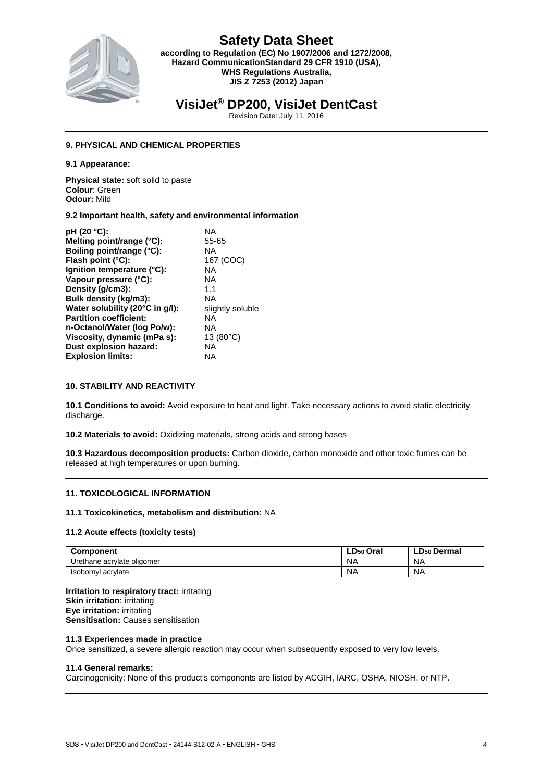

# **VisiJet® DP200, VisiJet DentCast**

Revision Date: July 11, 2016

### **9. PHYSICAL AND CHEMICAL PROPERTIES**

**9.1 Appearance:**

**Physical state:** soft solid to paste **Colour**: Green **Odour:** Mild

#### **9.2 Important health, safety and environmental information**

| pH (20 °C):                     | ΝA                 |
|---------------------------------|--------------------|
| Melting point/range (°C):       | 55-65              |
| Boiling point/range (°C):       | <b>NA</b>          |
| Flash point (°C):               | 167 (COC)          |
| Ignition temperature (°C):      | ΝA                 |
| Vapour pressure (°C):           | <b>NA</b>          |
| Density (g/cm3):                | 1.1                |
| Bulk density (kg/m3):           | <b>NA</b>          |
| Water solubility (20°C in g/l): | slightly soluble   |
| <b>Partition coefficient:</b>   | ΝA                 |
| n-Octanol/Water (log Po/w):     | ΝA                 |
| Viscosity, dynamic (mPa s):     | 13 $(80^{\circ}C)$ |
| Dust explosion hazard:          | ΝA                 |
| <b>Explosion limits:</b>        | ΝA                 |
|                                 |                    |

#### **10. STABILITY AND REACTIVITY**

**10.1 Conditions to avoid:** Avoid exposure to heat and light. Take necessary actions to avoid static electricity discharge.

**10.2 Materials to avoid:** Oxidizing materials, strong acids and strong bases

**10.3 Hazardous decomposition products:** Carbon dioxide, carbon monoxide and other toxic fumes can be released at high temperatures or upon burning.

#### **11. TOXICOLOGICAL INFORMATION**

#### **11.1 Toxicokinetics, metabolism and distribution:** NA

#### **11.2 Acute effects (toxicity tests)**

| <b>Component</b>           | LD50 Oral | ∟D50 Dermal |
|----------------------------|-----------|-------------|
| Urethane acrylate oligomer | NA        | ΝA          |
| Isobornyl acrylate         | NA        | ΝA          |

**Irritation to respiratory tract:** irritating **Skin irritation**: irritating **Eye irritation:** irritating **Sensitisation: Causes sensitisation** 

#### **11.3 Experiences made in practice**

Once sensitized, a severe allergic reaction may occur when subsequently exposed to very low levels.

#### **11.4 General remarks:**

Carcinogenicity: None of this product's components are listed by ACGIH, IARC, OSHA, NIOSH, or NTP.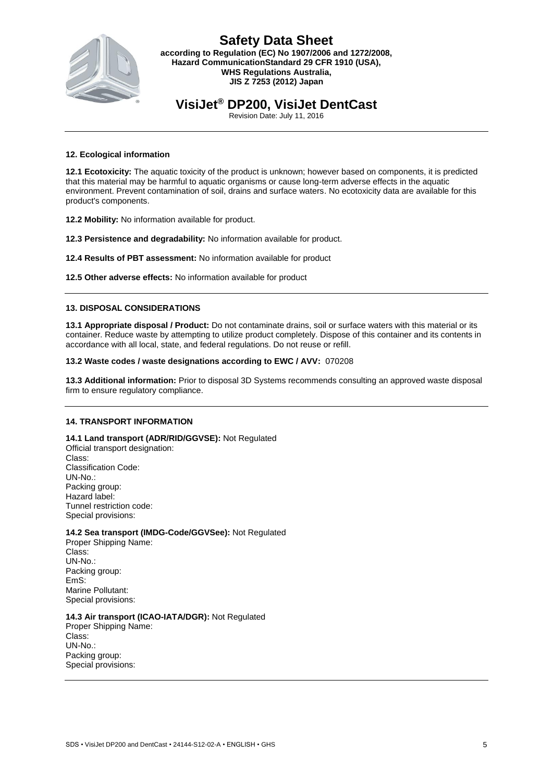

# **VisiJet® DP200, VisiJet DentCast**

Revision Date: July 11, 2016

#### **12. Ecological information**

**12.1 Ecotoxicity:** The aquatic toxicity of the product is unknown; however based on components, it is predicted that this material may be harmful to aquatic organisms or cause long-term adverse effects in the aquatic environment. Prevent contamination of soil, drains and surface waters. No ecotoxicity data are available for this product's components.

**12.2 Mobility:** No information available for product.

**12.3 Persistence and degradability:** No information available for product.

**12.4 Results of PBT assessment:** No information available for product

**12.5 Other adverse effects:** No information available for product

#### **13. DISPOSAL CONSIDERATIONS**

**13.1 Appropriate disposal / Product:** Do not contaminate drains, soil or surface waters with this material or its container. Reduce waste by attempting to utilize product completely. Dispose of this container and its contents in accordance with all local, state, and federal regulations. Do not reuse or refill.

#### **13.2 Waste codes / waste designations according to EWC / AVV:** 070208

**13.3 Additional information:** Prior to disposal 3D Systems recommends consulting an approved waste disposal firm to ensure regulatory compliance.

#### **14. TRANSPORT INFORMATION**

**14.1 Land transport (ADR/RID/GGVSE):** Not Regulated Official transport designation: Class: Classification Code: UN-No.: Packing group: Hazard label: Tunnel restriction code: Special provisions:

### **14.2 Sea transport (IMDG-Code/GGVSee):** Not Regulated

Proper Shipping Name: Class: UN-No.: Packing group: EmS: Marine Pollutant: Special provisions:

#### **14.3 Air transport (ICAO-IATA/DGR):** Not Regulated

Proper Shipping Name: Class: UN-No.: Packing group: Special provisions: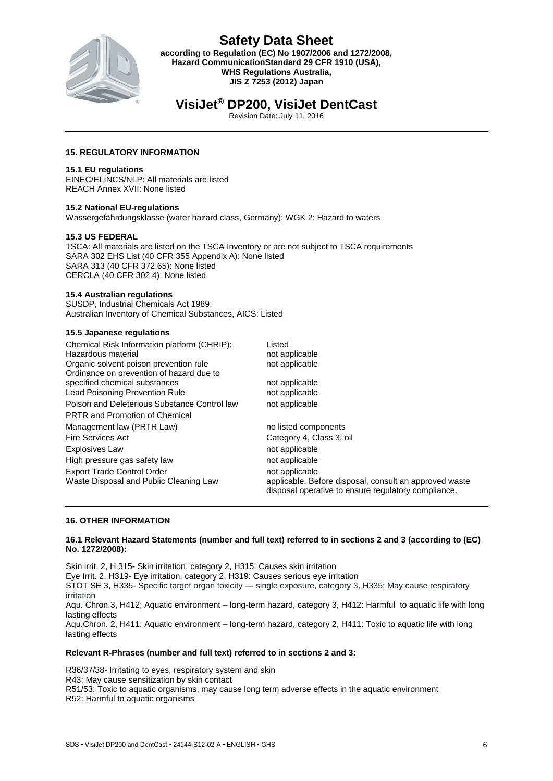

# **Safety Data Sheet according to Regulation (EC) No 1907/2006 and 1272/2008,**

**Hazard CommunicationStandard 29 CFR 1910 (USA), WHS Regulations Australia, JIS Z 7253 (2012) Japan**

# **VisiJet® DP200, VisiJet DentCast**

Revision Date: July 11, 2016

## **15. REGULATORY INFORMATION**

#### **15.1 EU regulations**

EINEC/ELINCS/NLP: All materials are listed REACH Annex XVII: None listed

### **15.2 National EU-regulations**

Wassergefährdungsklasse (water hazard class, Germany): WGK 2: Hazard to waters

### **15.3 US FEDERAL**

TSCA: All materials are listed on the TSCA Inventory or are not subject to TSCA requirements SARA 302 EHS List (40 CFR 355 Appendix A): None listed SARA 313 (40 CFR 372.65): None listed CERCLA (40 CFR 302.4): None listed

#### **15.4 Australian regulations**

SUSDP, Industrial Chemicals Act 1989: Australian Inventory of Chemical Substances, AICS: Listed

#### **15.5 Japanese regulations**

| Chemical Risk Information platform (CHRIP):  | Listed                                                                                                        |
|----------------------------------------------|---------------------------------------------------------------------------------------------------------------|
| Hazardous material                           | not applicable                                                                                                |
| Organic solvent poison prevention rule       | not applicable                                                                                                |
| Ordinance on prevention of hazard due to     |                                                                                                               |
| specified chemical substances                | not applicable                                                                                                |
| <b>Lead Poisoning Prevention Rule</b>        | not applicable                                                                                                |
| Poison and Deleterious Substance Control law | not applicable                                                                                                |
| <b>PRTR and Promotion of Chemical</b>        |                                                                                                               |
| Management law (PRTR Law)                    | no listed components                                                                                          |
| Fire Services Act                            | Category 4, Class 3, oil                                                                                      |
| <b>Explosives Law</b>                        | not applicable                                                                                                |
| High pressure gas safety law                 | not applicable                                                                                                |
| <b>Export Trade Control Order</b>            | not applicable                                                                                                |
| Waste Disposal and Public Cleaning Law       | applicable. Before disposal, consult an approved waste<br>disposal operative to ensure regulatory compliance. |

### **16. OTHER INFORMATION**

#### **16.1 Relevant Hazard Statements (number and full text) referred to in sections 2 and 3 (according to (EC) No. 1272/2008):**

Skin irrit. 2, H 315- Skin irritation, category 2, H315: Causes skin irritation Eye Irrit. 2, H319- Eye irritation, category 2, H319: Causes serious eye irritation STOT SE 3, H335- Specific target organ toxicity — single exposure, category 3, H335: May cause respiratory irritation Aqu. Chron.3, H412; Aquatic environment – long-term hazard, category 3, H412: Harmful to aquatic life with long lasting effects Aqu.Chron. 2, H411: Aquatic environment – long-term hazard, category 2, H411: Toxic to aquatic life with long lasting effects

#### **Relevant R-Phrases (number and full text) referred to in sections 2 and 3:**

R36/37/38- Irritating to eyes, respiratory system and skin R43: May cause sensitization by skin contact R51/53: Toxic to aquatic organisms, may cause long term adverse effects in the aquatic environment R52: Harmful to aquatic organisms